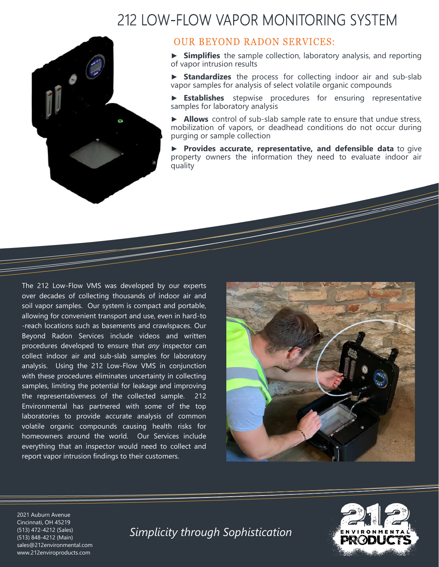## 212 LOW-FLOW VAPOR MONITORING SYSTEM



## **OUR BEYOND RADON SERVICES:**

► **Simplifies** the sample collection, laboratory analysis, and reporting of vapor intrusion results

► **Standardizes** the process for collecting indoor air and sub-slab vapor samples for analysis of select volatile organic compounds

► **Establishes** stepwise procedures for ensuring representative samples for laboratory analysis

► **Allows** control of sub-slab sample rate to ensure that undue stress, mobilization of vapors, or deadhead conditions do not occur during purging or sample collection

► **Provides accurate, representative, and defensible data** to give property owners the information they need to evaluate indoor air quality

The 212 Low-Flow VMS was developed by our experts over decades of collecting thousands of indoor air and soil vapor samples. Our system is compact and portable, allowing for convenient transport and use, even in hard-to -reach locations such as basements and crawlspaces. Our Beyond Radon Services include videos and written procedures developed to ensure that *any* inspector can collect indoor air and sub-slab samples for laboratory analysis. Using the 212 Low-Flow VMS in conjunction with these procedures eliminates uncertainty in collecting samples, limiting the potential for leakage and improving the representativeness of the collected sample. 212 Environmental has partnered with some of the top laboratories to provide accurate analysis of common volatile organic compounds causing health risks for homeowners around the world. Our Services include everything that an inspector would need to collect and report vapor intrusion findings to their customers.





2021 Auburn Avenue Cincinnati, OH 45219 (513) 472-4212 (Sales) (513) 848-4212 (Main) sales@212environmental.com www.212enviroproducts.com

*Simplicity through Sophistication*